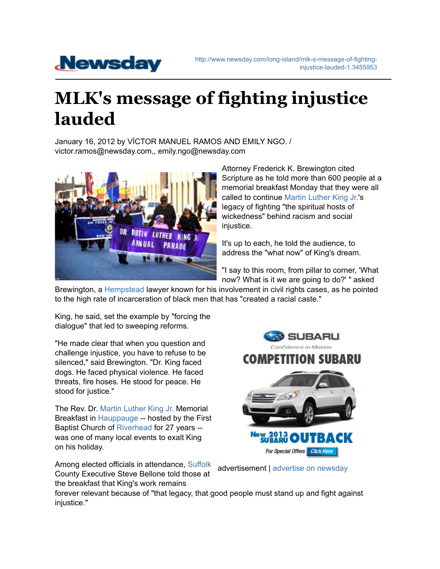## **Newsday**

## **MLK's message of fighting injustice lauded**

January 16, 2012 by VÍCTOR MANUEL RAMOS AND EMILY NGO. / victor.ramos@newsday.com,, emily.ngo@newsday.com



Attorney Frederick K. Brewington cited Scripture as he told more than 600 people at a memorial breakfast Monday that they were all called to continue Martin Luther King Jr.'s legacy of fighting "the spiritual hosts of wickedness" behind racism and social injustice.

It's up to each, he told the audience, to address the "what now" of King's dream.

"I say to this room, from pillar to corner, 'What now? What is it we are going to do?' " asked

Brewington, a Hempstead lawyer known for his involvement in civil rights cases, as he pointed to the high rate of incarceration of black men that has "created a racial caste."

King, he said, set the example by "forcing the dialogue" that led to sweeping reforms.

"He made clear that when you question and challenge injustice, you have to refuse to be silenced," said Brewington. "Dr. King faced dogs. He faced physical violence. He faced threats, fire hoses. He stood for peace. He stood for justice."

The Rev. Dr. Martin Luther King Jr. Memorial Breakfast in Hauppauge -- hosted by the First Baptist Church of Riverhead for 27 years - was one of many local events to exalt King on his holiday.

Among elected officials in attendance, Suffolk County Executive Steve Bellone told those at the breakfast that King's work remains



advertisement | advertise on newsday

forever relevant because of "that legacy, that good people must stand up and fight against iniustice."